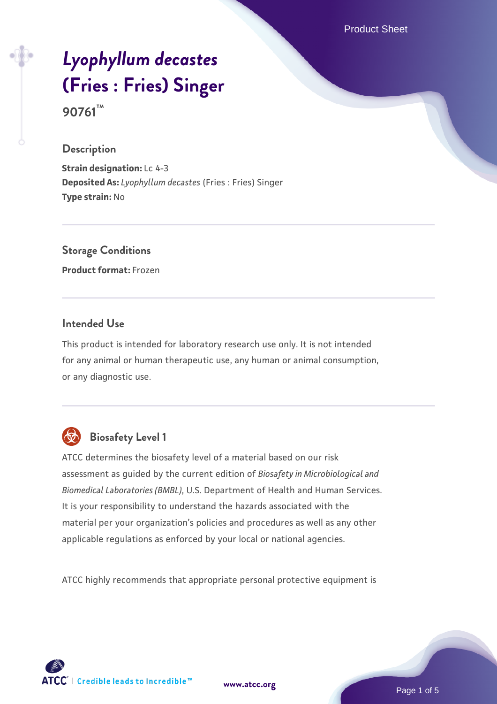Product Sheet

# *[Lyophyllum decastes](https://www.atcc.org/products/90761)* **[\(Fries : Fries\) Singer](https://www.atcc.org/products/90761) 90761™**

#### **Description**

**Strain designation:** Lc 4-3 **Deposited As:** *Lyophyllum decastes* (Fries : Fries) Singer **Type strain:** No

# **Storage Conditions**

**Product format:** Frozen

#### **Intended Use**

This product is intended for laboratory research use only. It is not intended for any animal or human therapeutic use, any human or animal consumption, or any diagnostic use.



# **Biosafety Level 1**

ATCC determines the biosafety level of a material based on our risk assessment as guided by the current edition of *Biosafety in Microbiological and Biomedical Laboratories (BMBL)*, U.S. Department of Health and Human Services. It is your responsibility to understand the hazards associated with the material per your organization's policies and procedures as well as any other applicable regulations as enforced by your local or national agencies.

ATCC highly recommends that appropriate personal protective equipment is



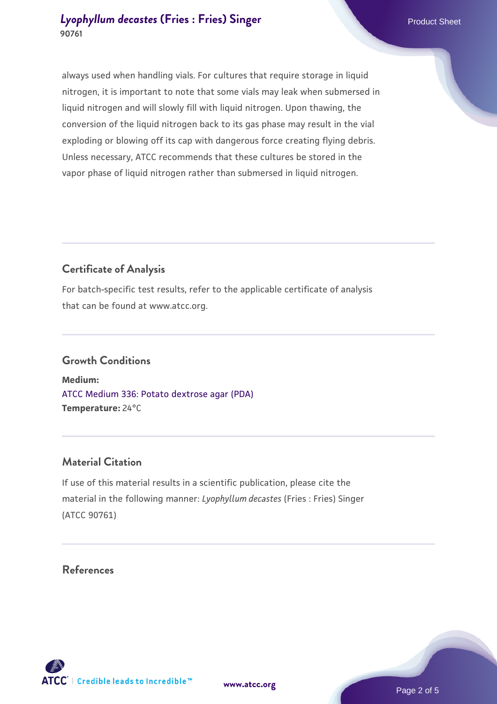# **[Lyophyllum decastes](https://www.atcc.org/products/90761) [\(Fries : Fries\) Singer](https://www.atcc.org/products/90761) Example 2018** Product Sheet **90761**

always used when handling vials. For cultures that require storage in liquid nitrogen, it is important to note that some vials may leak when submersed in liquid nitrogen and will slowly fill with liquid nitrogen. Upon thawing, the conversion of the liquid nitrogen back to its gas phase may result in the vial exploding or blowing off its cap with dangerous force creating flying debris. Unless necessary, ATCC recommends that these cultures be stored in the vapor phase of liquid nitrogen rather than submersed in liquid nitrogen.

# **Certificate of Analysis**

For batch-specific test results, refer to the applicable certificate of analysis that can be found at www.atcc.org.

# **Growth Conditions**

**Medium:**  [ATCC Medium 336: Potato dextrose agar \(PDA\)](https://www.atcc.org/-/media/product-assets/documents/microbial-media-formulations/3/3/6/atcc-medium-336.pdf?rev=d9160ad44d934cd8b65175461abbf3b9) **Temperature:** 24°C

# **Material Citation**

If use of this material results in a scientific publication, please cite the material in the following manner: *Lyophyllum decastes* (Fries : Fries) Singer (ATCC 90761)

#### **References**



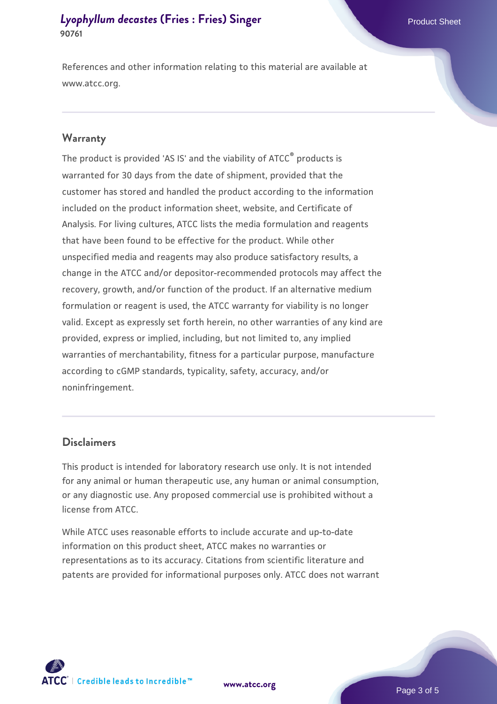# **[Lyophyllum decastes](https://www.atcc.org/products/90761) [\(Fries : Fries\) Singer](https://www.atcc.org/products/90761) Example 2018** Product Sheet **90761**

References and other information relating to this material are available at www.atcc.org.

#### **Warranty**

The product is provided 'AS IS' and the viability of ATCC® products is warranted for 30 days from the date of shipment, provided that the customer has stored and handled the product according to the information included on the product information sheet, website, and Certificate of Analysis. For living cultures, ATCC lists the media formulation and reagents that have been found to be effective for the product. While other unspecified media and reagents may also produce satisfactory results, a change in the ATCC and/or depositor-recommended protocols may affect the recovery, growth, and/or function of the product. If an alternative medium formulation or reagent is used, the ATCC warranty for viability is no longer valid. Except as expressly set forth herein, no other warranties of any kind are provided, express or implied, including, but not limited to, any implied warranties of merchantability, fitness for a particular purpose, manufacture according to cGMP standards, typicality, safety, accuracy, and/or noninfringement.

#### **Disclaimers**

This product is intended for laboratory research use only. It is not intended for any animal or human therapeutic use, any human or animal consumption, or any diagnostic use. Any proposed commercial use is prohibited without a license from ATCC.

While ATCC uses reasonable efforts to include accurate and up-to-date information on this product sheet, ATCC makes no warranties or representations as to its accuracy. Citations from scientific literature and patents are provided for informational purposes only. ATCC does not warrant



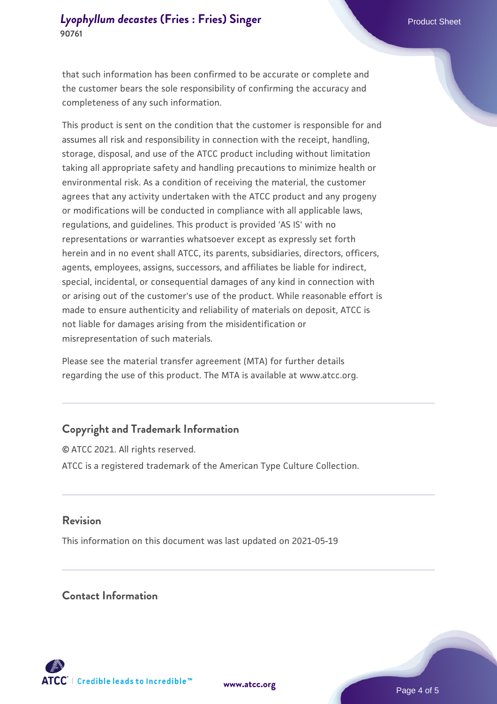#### **[Lyophyllum decastes](https://www.atcc.org/products/90761) [\(Fries : Fries\) Singer](https://www.atcc.org/products/90761) Example 2018** Product Sheet **90761**

that such information has been confirmed to be accurate or complete and the customer bears the sole responsibility of confirming the accuracy and completeness of any such information.

This product is sent on the condition that the customer is responsible for and assumes all risk and responsibility in connection with the receipt, handling, storage, disposal, and use of the ATCC product including without limitation taking all appropriate safety and handling precautions to minimize health or environmental risk. As a condition of receiving the material, the customer agrees that any activity undertaken with the ATCC product and any progeny or modifications will be conducted in compliance with all applicable laws, regulations, and guidelines. This product is provided 'AS IS' with no representations or warranties whatsoever except as expressly set forth herein and in no event shall ATCC, its parents, subsidiaries, directors, officers, agents, employees, assigns, successors, and affiliates be liable for indirect, special, incidental, or consequential damages of any kind in connection with or arising out of the customer's use of the product. While reasonable effort is made to ensure authenticity and reliability of materials on deposit, ATCC is not liable for damages arising from the misidentification or misrepresentation of such materials.

Please see the material transfer agreement (MTA) for further details regarding the use of this product. The MTA is available at www.atcc.org.

# **Copyright and Trademark Information**

© ATCC 2021. All rights reserved. ATCC is a registered trademark of the American Type Culture Collection.

# **Revision**

This information on this document was last updated on 2021-05-19

#### **Contact Information**